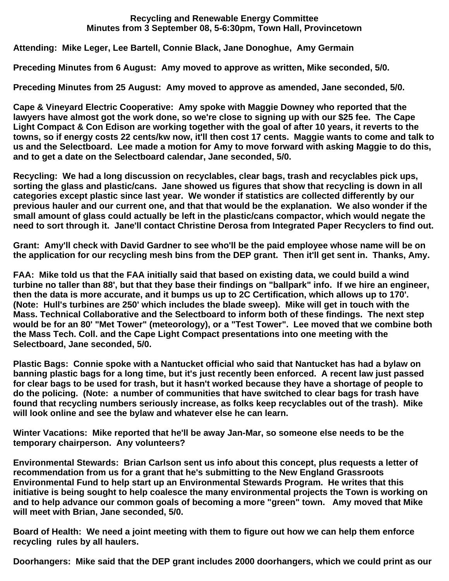## **Recycling and Renewable Energy Committee Minutes from 3 September 08, 5-6:30pm, Town Hall, Provincetown**

**Attending: Mike Leger, Lee Bartell, Connie Black, Jane Donoghue, Amy Germain**

**Preceding Minutes from 6 August: Amy moved to approve as written, Mike seconded, 5/0.**

**Preceding Minutes from 25 August: Amy moved to approve as amended, Jane seconded, 5/0.**

**Cape & Vineyard Electric Cooperative: Amy spoke with Maggie Downey who reported that the lawyers have almost got the work done, so we're close to signing up with our \$25 fee. The Cape Light Compact & Con Edison are working together with the goal of after 10 years, it reverts to the towns, so if energy costs 22 cents/kw now, it'll then cost 17 cents. Maggie wants to come and talk to us and the Selectboard. Lee made a motion for Amy to move forward with asking Maggie to do this, and to get a date on the Selectboard calendar, Jane seconded, 5/0.**

**Recycling: We had a long discussion on recyclables, clear bags, trash and recyclables pick ups, sorting the glass and plastic/cans. Jane showed us figures that show that recycling is down in all categories except plastic since last year. We wonder if statistics are collected differently by our previous hauler and our current one, and that that would be the explanation. We also wonder if the small amount of glass could actually be left in the plastic/cans compactor, which would negate the need to sort through it. Jane'll contact Christine Derosa from Integrated Paper Recyclers to find out.** 

**Grant: Amy'll check with David Gardner to see who'll be the paid employee whose name will be on the application for our recycling mesh bins from the DEP grant. Then it'll get sent in. Thanks, Amy.**

**FAA: Mike told us that the FAA initially said that based on existing data, we could build a wind turbine no taller than 88', but that they base their findings on "ballpark" info. If we hire an engineer, then the data is more accurate, and it bumps us up to 2C Certification, which allows up to 170'. (Note: Hull's turbines are 250' which includes the blade sweep). Mike will get in touch with the Mass. Technical Collaborative and the Selectboard to inform both of these findings. The next step would be for an 80' "Met Tower" (meteorology), or a "Test Tower". Lee moved that we combine both the Mass Tech. Coll. and the Cape Light Compact presentations into one meeting with the Selectboard, Jane seconded, 5/0.**

**Plastic Bags: Connie spoke with a Nantucket official who said that Nantucket has had a bylaw on banning plastic bags for a long time, but it's just recently been enforced. A recent law just passed for clear bags to be used for trash, but it hasn't worked because they have a shortage of people to do the policing. (Note: a number of communities that have switched to clear bags for trash have found that recycling numbers seriously increase, as folks keep recyclables out of the trash). Mike will look online and see the bylaw and whatever else he can learn.**

**Winter Vacations: Mike reported that he'll be away Jan-Mar, so someone else needs to be the temporary chairperson. Any volunteers?**

**Environmental Stewards: Brian Carlson sent us info about this concept, plus requests a letter of recommendation from us for a grant that he's submitting to the New England Grassroots Environmental Fund to help start up an Environmental Stewards Program. He writes that this initiative is being sought to help coalesce the many environmental projects the Town is working on and to help advance our common goals of becoming a more "green" town. Amy moved that Mike will meet with Brian, Jane seconded, 5/0.**

**Board of Health: We need a joint meeting with them to figure out how we can help them enforce recycling rules by all haulers.**

**Doorhangers: Mike said that the DEP grant includes 2000 doorhangers, which we could print as our**